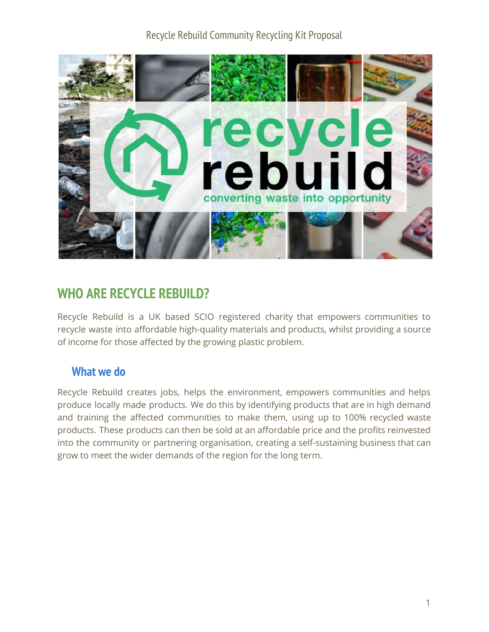

# **WHO ARE RECYCLE REBUILD?**

Recycle Rebuild is a UK based SCIO registered charity that empowers communities to recycle waste into affordable high-quality materials and products, whilst providing a source of income for those affected by the growing plastic problem.

#### **What we do**

Recycle Rebuild creates jobs, helps the environment, empowers communities and helps produce locally made products. We do this by identifying products that are in high demand and training the affected communities to make them, using up to 100% recycled waste products. These products can then be sold at an affordable price and the profits reinvested into the community or partnering organisation, creating a self-sustaining business that can grow to meet the wider demands of the region for the long term.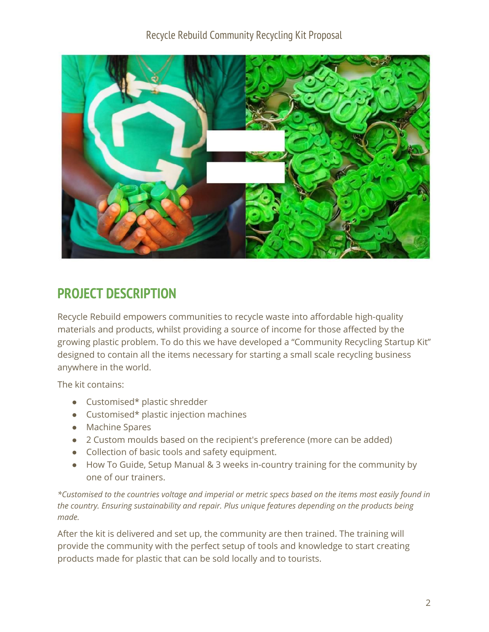

# **PROJECT DESCRIPTION**

Recycle Rebuild empowers communities to recycle waste into affordable high-quality materials and products, whilst providing a source of income for those affected by the growing plastic problem. To do this we have developed a "Community Recycling Startup Kit" designed to contain all the items necessary for starting a small scale recycling business anywhere in the world.

The kit contains:

- Customised\* plastic shredder
- Customised\* plastic injection machines
- Machine Spares
- 2 Custom moulds based on the recipient's preference (more can be added)
- Collection of basic tools and safety equipment.
- How To Guide, Setup Manual & 3 weeks in-country training for the community by one of our trainers.

\*Customised to the countries voltage and imperial or metric specs based on the items most easily found in *the country. Ensuring sustainability and repair. Plus unique features depending on the products being made.*

After the kit is delivered and set up, the community are then trained. The training will provide the community with the perfect setup of tools and knowledge to start creating products made for plastic that can be sold locally and to tourists.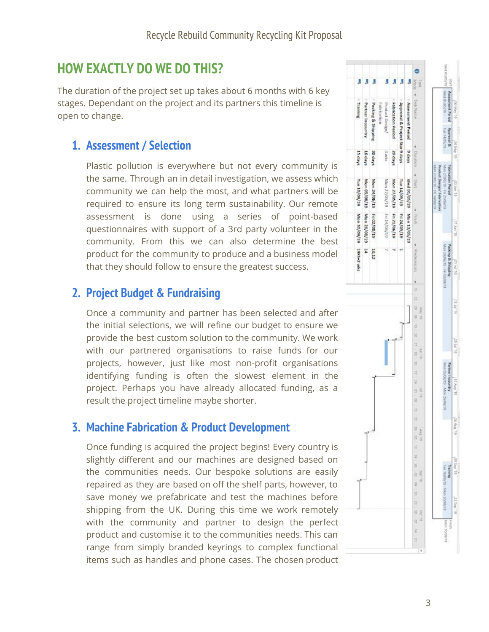# **HOW EXACTLY DO WE DO THIS?**

The duration of the project set up takes about 6 months with 6 key stages. Dependant on the project and its partners this timeline is open to change.

## **1. Assessment / Selection**

Plastic pollution is everywhere but not every community is the same. Through an in detail investigation, we assess which community we can help the most, and what partners will be required to ensure its long term sustainability. Our remote assessment is done using a series of point-based questionnaires with support of a 3rd party volunteer in the community. From this we can also determine the best product for the community to produce and a business model that they should follow to ensure the greatest success.

## **2. Project Budget & Fundraising**

Once a community and partner has been selected and after the initial selections, we will refine our budget to ensure we provide the best custom solution to the community. We work with our partnered organisations to raise funds for our projects, however, just like most non-profit organisations identifying funding is often the slowest element in the project. Perhaps you have already allocated funding, as a result the project timeline maybe shorter.

### **3. Machine Fabrication & Product Development**

Once funding is acquired the project begins! Every country is slightly different and our machines are designed based on the communities needs. Our bespoke solutions are easily repaired as they are based on off the shelf parts, however, to save money we prefabricate and test the machines before shipping from the UK. During this time we work remotely with the community and partner to design the perfect product and customise it to the communities needs. This can range from simply branded keyrings to complex functional items such as handles and phone cases. The chosen product

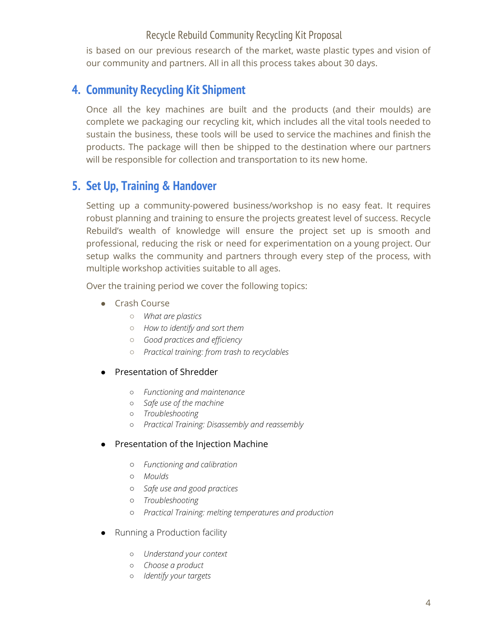is based on our previous research of the market, waste plastic types and vision of our community and partners. All in all this process takes about 30 days.

### **4. Community Recycling Kit Shipment**

Once all the key machines are built and the products (and their moulds) are complete we packaging our recycling kit, which includes all the vital tools needed to sustain the business, these tools will be used to service the machines and finish the products. The package will then be shipped to the destination where our partners will be responsible for collection and transportation to its new home.

### **5. Set Up, Training & Handover**

Setting up a community-powered business/workshop is no easy feat. It requires robust planning and training to ensure the projects greatest level of success. Recycle Rebuild's wealth of knowledge will ensure the project set up is smooth and professional, reducing the risk or need for experimentation on a young project. Our setup walks the community and partners through every step of the process, with multiple workshop activities suitable to all ages.

Over the training period we cover the following topics:

- Crash Course
	- *What are plastics*
	- *How to identify and sort them*
	- *Good practices and efficiency*
	- *Practical training: from trash to recyclables*

#### ● Presentation of Shredder

- *○ Functioning and maintenance*
- *○ Safe use of the machine*
- *○ Troubleshooting*
- *○ Practical Training: Disassembly and reassembly*

#### ● Presentation of the Injection Machine

- *○ Functioning and calibration*
- *○ Moulds*
- *○ Safe use and good practices*
- *○ Troubleshooting*
- *○ Practical Training: melting temperatures and production*
- Running a Production facility
	- *Understand your context*
	- *Choose a product*
	- *Identify your targets*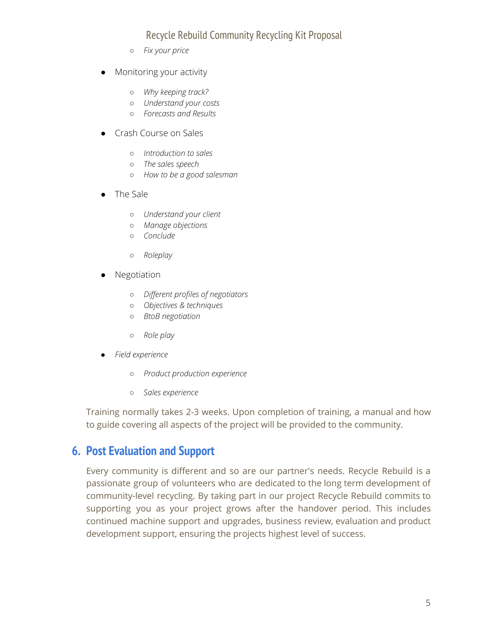- *Fix your price*
- Monitoring your activity
	- *Why keeping track?*
	- *Understand your costs*
	- *Forecasts and Results*
- Crash Course on Sales
	- *Introduction to sales*
	- *The sales speech*
	- *How to be a good salesman*
- The Sale
	- *Understand your client*
	- *Manage objections*
	- *Conclude*
	- *Roleplay*
- **Negotiation** 
	- *Different profiles of negotiators*
	- *Objectives & techniques*
	- *BtoB negotiation*
	- *Role play*
- *● Field experience*
	- *○ Product production experience*
	- *○ Sales experience*

Training normally takes 2-3 weeks. Upon completion of training, a manual and how to guide covering all aspects of the project will be provided to the community.

#### **6. Post Evaluation and Support**

Every community is different and so are our partner's needs. Recycle Rebuild is a passionate group of volunteers who are dedicated to the long term development of community-level recycling. By taking part in our project Recycle Rebuild commits to supporting you as your project grows after the handover period. This includes continued machine support and upgrades, business review, evaluation and product development support, ensuring the projects highest level of success.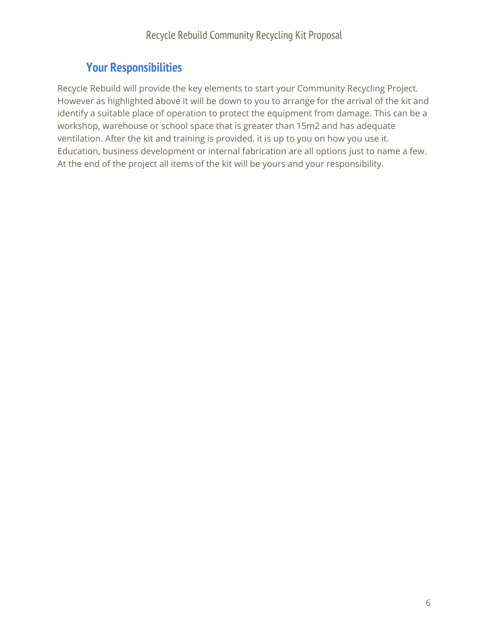## **Your Responsibilities**

Recycle Rebuild will provide the key elements to start your Community Recycling Project. However as highlighted above it will be down to you to arrange for the arrival of the kit and identify a suitable place of operation to protect the equipment from damage. This can be a workshop, warehouse or school space that is greater than 15m2 and has adequate ventilation. After the kit and training is provided, it is up to you on how you use it. Education, business development or internal fabrication are all options just to name a few. At the end of the project all items of the kit will be yours and your responsibility.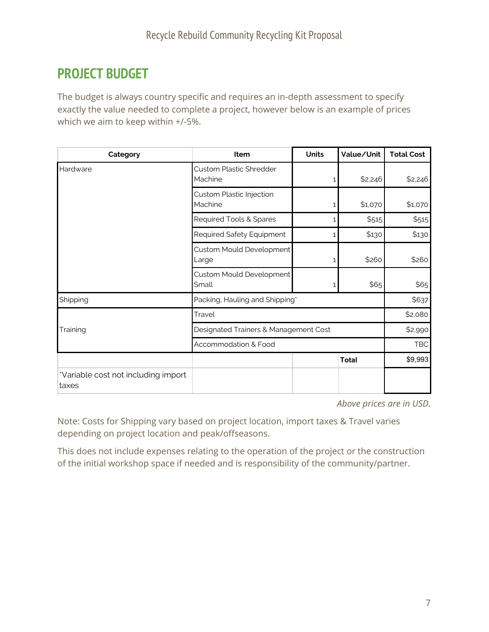# **PROJECT BUDGET**

The budget is always country specific and requires an in-depth assessment to specify exactly the value needed to complete a project, however below is an example of prices which we aim to keep within +/-5%.

| Category                                     | Item                                      | <b>Units</b> | Value/Unit   | <b>Total Cost</b> |
|----------------------------------------------|-------------------------------------------|--------------|--------------|-------------------|
| Hardware                                     | <b>Custom Plastic Shredder</b><br>Machine | 1            | \$2,246      | \$2,246           |
|                                              | Custom Plastic Injection<br>Machine       | 1            | \$1,070      | \$1,070           |
|                                              | Required Tools & Spares                   |              | \$515        | \$515             |
|                                              | Required Safety Equipment                 | 1            | \$130        | \$130             |
|                                              | Custom Mould Development<br>Large         |              | \$260        | \$260             |
|                                              | Custom Mould Development<br>Small         | 1            | \$65         | \$65              |
| Shipping                                     | Packing, Hauling and Shipping*            |              |              | \$637             |
| Training                                     | Travel                                    |              |              | \$2,080           |
|                                              | Designated Trainers & Management Cost     |              |              | \$2,990           |
|                                              | Accommodation & Food                      |              |              | <b>TBC</b>        |
|                                              |                                           |              | <b>Total</b> | \$9,993           |
| *Variable cost not including import<br>taxes |                                           |              |              |                   |

*Above prices are in USD.*

Note: Costs for Shipping vary based on project location, import taxes & Travel varies depending on project location and peak/offseasons.

This does not include expenses relating to the operation of the project or the construction of the initial workshop space if needed and is responsibility of the community/partner.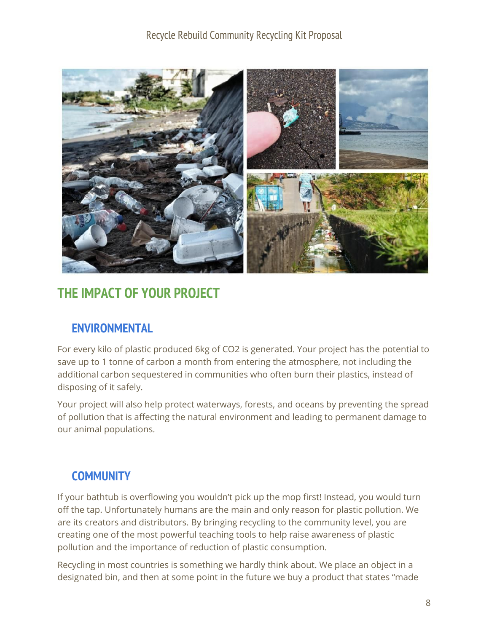

# **THE IMPACT OF YOUR PROJECT**

## **ENVIRONMENTAL**

For every kilo of plastic produced 6kg of CO2 is generated. Your project has the potential to save up to 1 tonne of carbon a month from entering the atmosphere, not including the additional carbon sequestered in communities who often burn their plastics, instead of disposing of it safely.

Your project will also help protect waterways, forests, and oceans by preventing the spread of pollution that is affecting the natural environment and leading to permanent damage to our animal populations.

## **COMMUNITY**

If your bathtub is overflowing you wouldn't pick up the mop first! Instead, you would turn off the tap. Unfortunately humans are the main and only reason for plastic pollution. We are its creators and distributors. By bringing recycling to the community level, you are creating one of the most powerful teaching tools to help raise awareness of plastic pollution and the importance of reduction of plastic consumption.

Recycling in most countries is something we hardly think about. We place an object in a designated bin, and then at some point in the future we buy a product that states "made